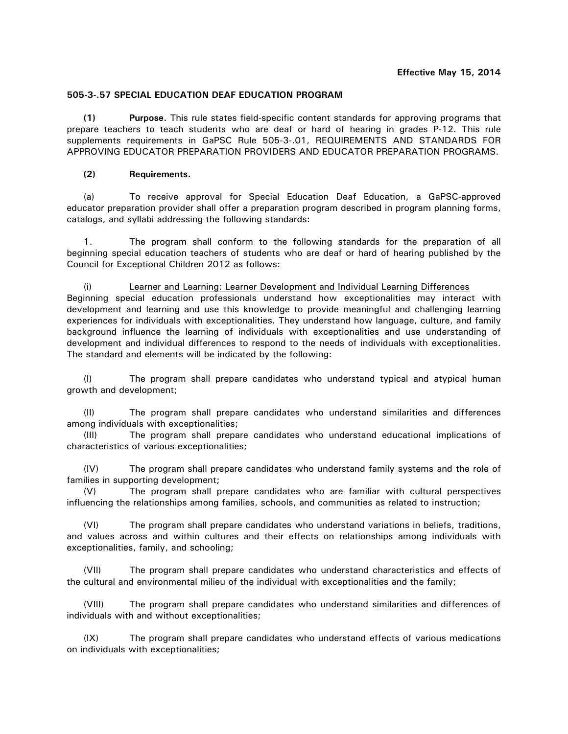# **505-3-.57 SPECIAL EDUCATION DEAF EDUCATION PROGRAM**

**(1) Purpose.** This rule states field-specific content standards for approving programs that prepare teachers to teach students who are deaf or hard of hearing in grades P-12. This rule supplements requirements in GaPSC Rule 505-3-.01, REQUIREMENTS AND STANDARDS FOR APPROVING EDUCATOR PREPARATION PROVIDERS AND EDUCATOR PREPARATION PROGRAMS.

# **(2) Requirements.**

(a) To receive approval for Special Education Deaf Education, a GaPSC-approved educator preparation provider shall offer a preparation program described in program planning forms, catalogs, and syllabi addressing the following standards:

1. The program shall conform to the following standards for the preparation of all beginning special education teachers of students who are deaf or hard of hearing published by the Council for Exceptional Children 2012 as follows:

(i) Learner and Learning: Learner Development and Individual Learning Differences Beginning special education professionals understand how exceptionalities may interact with development and learning and use this knowledge to provide meaningful and challenging learning experiences for individuals with exceptionalities. They understand how language, culture, and family background influence the learning of individuals with exceptionalities and use understanding of development and individual differences to respond to the needs of individuals with exceptionalities. The standard and elements will be indicated by the following:

(I) The program shall prepare candidates who understand typical and atypical human growth and development;

(II) The program shall prepare candidates who understand similarities and differences among individuals with exceptionalities;

(III) The program shall prepare candidates who understand educational implications of characteristics of various exceptionalities;

(IV) The program shall prepare candidates who understand family systems and the role of families in supporting development;

(V) The program shall prepare candidates who are familiar with cultural perspectives influencing the relationships among families, schools, and communities as related to instruction;

(VI) The program shall prepare candidates who understand variations in beliefs, traditions, and values across and within cultures and their effects on relationships among individuals with exceptionalities, family, and schooling;

(VII) The program shall prepare candidates who understand characteristics and effects of the cultural and environmental milieu of the individual with exceptionalities and the family;

(VIII) The program shall prepare candidates who understand similarities and differences of individuals with and without exceptionalities;

(IX) The program shall prepare candidates who understand effects of various medications on individuals with exceptionalities;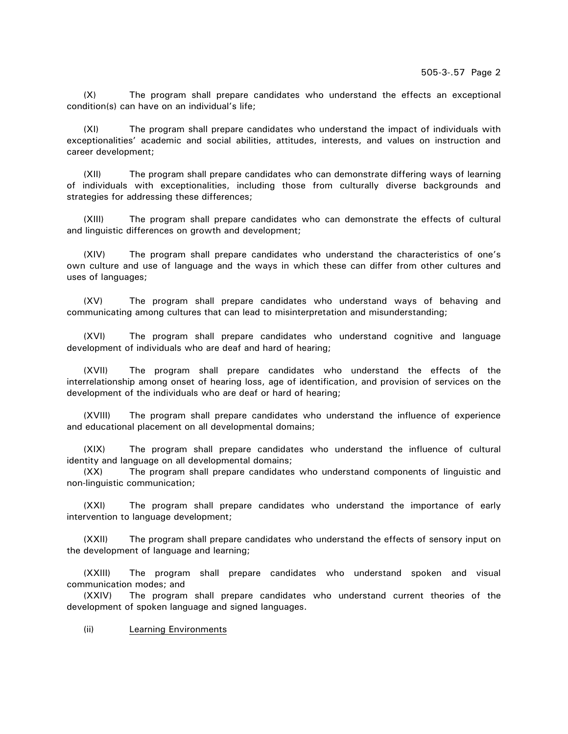(X) The program shall prepare candidates who understand the effects an exceptional condition(s) can have on an individual's life;

(XI) The program shall prepare candidates who understand the impact of individuals with exceptionalities' academic and social abilities, attitudes, interests, and values on instruction and career development;

(XII) The program shall prepare candidates who can demonstrate differing ways of learning of individuals with exceptionalities, including those from culturally diverse backgrounds and strategies for addressing these differences;

(XIII) The program shall prepare candidates who can demonstrate the effects of cultural and linguistic differences on growth and development;

(XIV) The program shall prepare candidates who understand the characteristics of one's own culture and use of language and the ways in which these can differ from other cultures and uses of languages;

(XV) The program shall prepare candidates who understand ways of behaving and communicating among cultures that can lead to misinterpretation and misunderstanding;

(XVI) The program shall prepare candidates who understand cognitive and language development of individuals who are deaf and hard of hearing;

(XVII) The program shall prepare candidates who understand the effects of the interrelationship among onset of hearing loss, age of identification, and provision of services on the development of the individuals who are deaf or hard of hearing;

(XVIII) The program shall prepare candidates who understand the influence of experience and educational placement on all developmental domains;

(XIX) The program shall prepare candidates who understand the influence of cultural identity and language on all developmental domains;

(XX) The program shall prepare candidates who understand components of linguistic and non-linguistic communication;

(XXI) The program shall prepare candidates who understand the importance of early intervention to language development;

(XXII) The program shall prepare candidates who understand the effects of sensory input on the development of language and learning;

(XXIII) The program shall prepare candidates who understand spoken and visual communication modes; and

(XXIV) The program shall prepare candidates who understand current theories of the development of spoken language and signed languages.

(ii) Learning Environments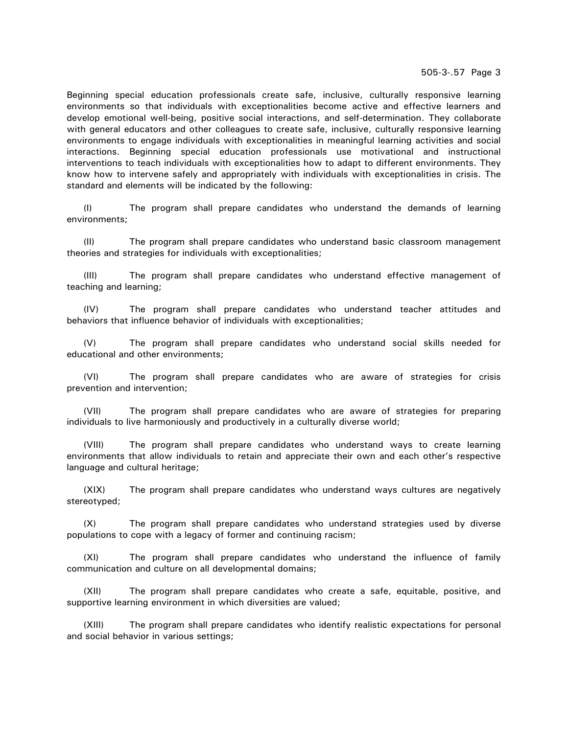505-3-.57 Page 3

Beginning special education professionals create safe, inclusive, culturally responsive learning environments so that individuals with exceptionalities become active and effective learners and develop emotional well-being, positive social interactions, and self-determination. They collaborate with general educators and other colleagues to create safe, inclusive, culturally responsive learning environments to engage individuals with exceptionalities in meaningful learning activities and social interactions. Beginning special education professionals use motivational and instructional interventions to teach individuals with exceptionalities how to adapt to different environments. They know how to intervene safely and appropriately with individuals with exceptionalities in crisis. The standard and elements will be indicated by the following:

(I) The program shall prepare candidates who understand the demands of learning environments;

(II) The program shall prepare candidates who understand basic classroom management theories and strategies for individuals with exceptionalities;

(III) The program shall prepare candidates who understand effective management of teaching and learning;

(IV) The program shall prepare candidates who understand teacher attitudes and behaviors that influence behavior of individuals with exceptionalities;

(V) The program shall prepare candidates who understand social skills needed for educational and other environments;

(VI) The program shall prepare candidates who are aware of strategies for crisis prevention and intervention;

(VII) The program shall prepare candidates who are aware of strategies for preparing individuals to live harmoniously and productively in a culturally diverse world;

(VIII) The program shall prepare candidates who understand ways to create learning environments that allow individuals to retain and appreciate their own and each other's respective language and cultural heritage;

(XIX) The program shall prepare candidates who understand ways cultures are negatively stereotyped;

(X) The program shall prepare candidates who understand strategies used by diverse populations to cope with a legacy of former and continuing racism;

(XI) The program shall prepare candidates who understand the influence of family communication and culture on all developmental domains;

(XII) The program shall prepare candidates who create a safe, equitable, positive, and supportive learning environment in which diversities are valued;

(XIII) The program shall prepare candidates who identify realistic expectations for personal and social behavior in various settings;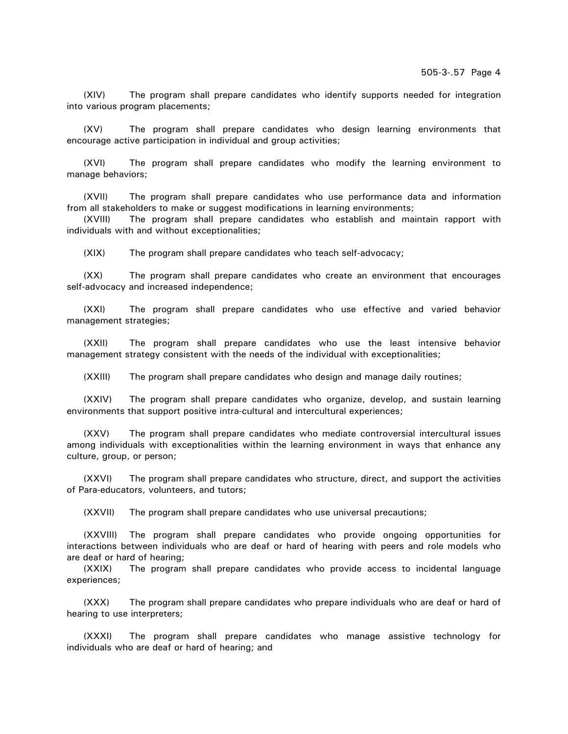(XIV) The program shall prepare candidates who identify supports needed for integration into various program placements;

(XV) The program shall prepare candidates who design learning environments that encourage active participation in individual and group activities;

(XVI) The program shall prepare candidates who modify the learning environment to manage behaviors;

(XVII) The program shall prepare candidates who use performance data and information from all stakeholders to make or suggest modifications in learning environments;

(XVIII) The program shall prepare candidates who establish and maintain rapport with individuals with and without exceptionalities;

(XIX) The program shall prepare candidates who teach self-advocacy;

(XX) The program shall prepare candidates who create an environment that encourages self-advocacy and increased independence;

(XXI) The program shall prepare candidates who use effective and varied behavior management strategies;

(XXII) The program shall prepare candidates who use the least intensive behavior management strategy consistent with the needs of the individual with exceptionalities;

(XXIII) The program shall prepare candidates who design and manage daily routines;

(XXIV) The program shall prepare candidates who organize, develop, and sustain learning environments that support positive intra-cultural and intercultural experiences;

(XXV) The program shall prepare candidates who mediate controversial intercultural issues among individuals with exceptionalities within the learning environment in ways that enhance any culture, group, or person;

(XXVI) The program shall prepare candidates who structure, direct, and support the activities of Para-educators, volunteers, and tutors;

(XXVII) The program shall prepare candidates who use universal precautions;

(XXVIII) The program shall prepare candidates who provide ongoing opportunities for interactions between individuals who are deaf or hard of hearing with peers and role models who are deaf or hard of hearing;

(XXIX) The program shall prepare candidates who provide access to incidental language experiences;

(XXX) The program shall prepare candidates who prepare individuals who are deaf or hard of hearing to use interpreters;

(XXXI) The program shall prepare candidates who manage assistive technology for individuals who are deaf or hard of hearing; and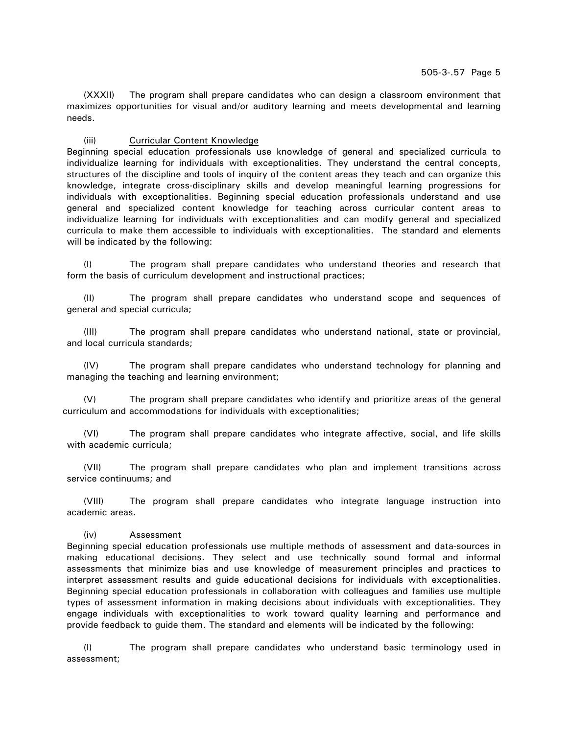(XXXII) The program shall prepare candidates who can design a classroom environment that maximizes opportunities for visual and/or auditory learning and meets developmental and learning needs.

# (iii) Curricular Content Knowledge

Beginning special education professionals use knowledge of general and specialized curricula to individualize learning for individuals with exceptionalities. They understand the central concepts, structures of the discipline and tools of inquiry of the content areas they teach and can organize this knowledge, integrate cross-disciplinary skills and develop meaningful learning progressions for individuals with exceptionalities. Beginning special education professionals understand and use general and specialized content knowledge for teaching across curricular content areas to individualize learning for individuals with exceptionalities and can modify general and specialized curricula to make them accessible to individuals with exceptionalities. The standard and elements will be indicated by the following:

(I) The program shall prepare candidates who understand theories and research that form the basis of curriculum development and instructional practices;

(II) The program shall prepare candidates who understand scope and sequences of general and special curricula;

(III) The program shall prepare candidates who understand national, state or provincial, and local curricula standards;

(IV) The program shall prepare candidates who understand technology for planning and managing the teaching and learning environment;

(V) The program shall prepare candidates who identify and prioritize areas of the general curriculum and accommodations for individuals with exceptionalities;

(VI) The program shall prepare candidates who integrate affective, social, and life skills with academic curricula;

(VII) The program shall prepare candidates who plan and implement transitions across service continuums; and

(VIII) The program shall prepare candidates who integrate language instruction into academic areas.

# (iv) Assessment

Beginning special education professionals use multiple methods of assessment and data-sources in making educational decisions. They select and use technically sound formal and informal assessments that minimize bias and use knowledge of measurement principles and practices to interpret assessment results and guide educational decisions for individuals with exceptionalities. Beginning special education professionals in collaboration with colleagues and families use multiple types of assessment information in making decisions about individuals with exceptionalities. They engage individuals with exceptionalities to work toward quality learning and performance and provide feedback to guide them. The standard and elements will be indicated by the following:

(I) The program shall prepare candidates who understand basic terminology used in assessment;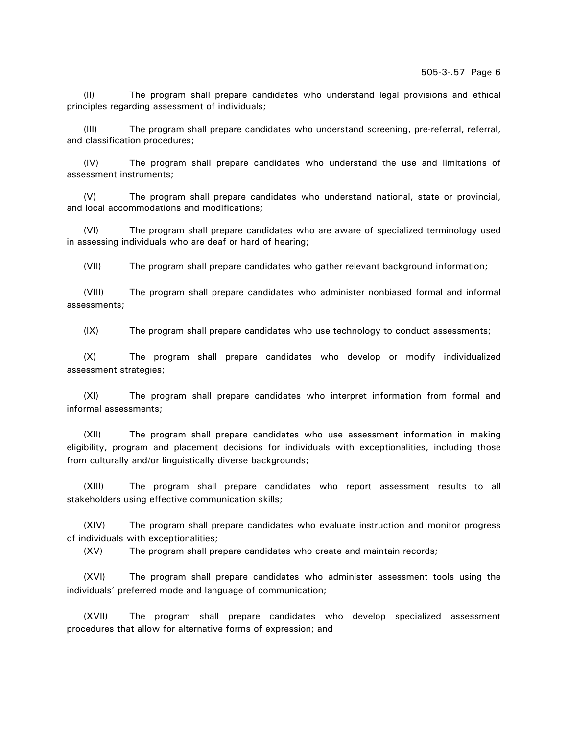(II) The program shall prepare candidates who understand legal provisions and ethical principles regarding assessment of individuals;

(III) The program shall prepare candidates who understand screening, pre-referral, referral, and classification procedures;

(IV) The program shall prepare candidates who understand the use and limitations of assessment instruments;

(V) The program shall prepare candidates who understand national, state or provincial, and local accommodations and modifications;

(VI) The program shall prepare candidates who are aware of specialized terminology used in assessing individuals who are deaf or hard of hearing;

(VII) The program shall prepare candidates who gather relevant background information;

(VIII) The program shall prepare candidates who administer nonbiased formal and informal assessments;

(IX) The program shall prepare candidates who use technology to conduct assessments;

(X) The program shall prepare candidates who develop or modify individualized assessment strategies;

(XI) The program shall prepare candidates who interpret information from formal and informal assessments;

(XII) The program shall prepare candidates who use assessment information in making eligibility, program and placement decisions for individuals with exceptionalities, including those from culturally and/or linguistically diverse backgrounds;

(XIII) The program shall prepare candidates who report assessment results to all stakeholders using effective communication skills;

(XIV) The program shall prepare candidates who evaluate instruction and monitor progress of individuals with exceptionalities;

(XV) The program shall prepare candidates who create and maintain records;

(XVI) The program shall prepare candidates who administer assessment tools using the individuals' preferred mode and language of communication;

(XVII) The program shall prepare candidates who develop specialized assessment procedures that allow for alternative forms of expression; and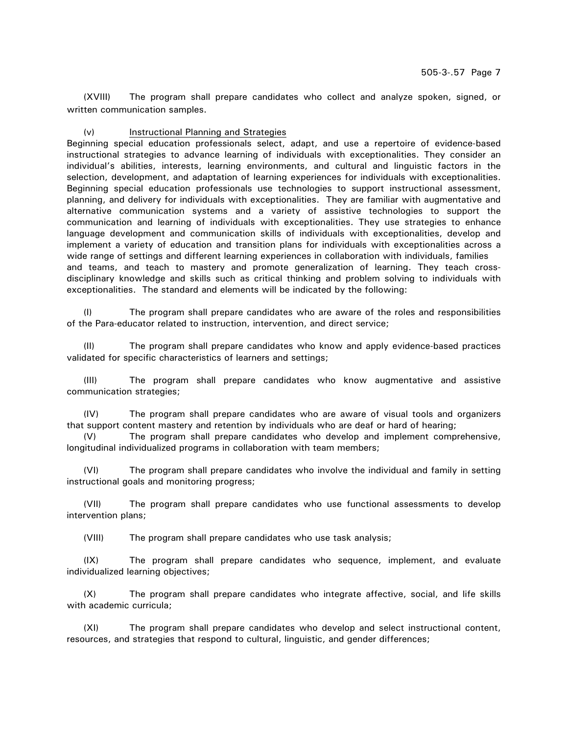(XVIII) The program shall prepare candidates who collect and analyze spoken, signed, or written communication samples.

# (v) Instructional Planning and Strategies

Beginning special education professionals select, adapt, and use a repertoire of evidence-based instructional strategies to advance learning of individuals with exceptionalities. They consider an individual's abilities, interests, learning environments, and cultural and linguistic factors in the selection, development, and adaptation of learning experiences for individuals with exceptionalities. Beginning special education professionals use technologies to support instructional assessment, planning, and delivery for individuals with exceptionalities. They are familiar with augmentative and alternative communication systems and a variety of assistive technologies to support the communication and learning of individuals with exceptionalities. They use strategies to enhance language development and communication skills of individuals with exceptionalities, develop and implement a variety of education and transition plans for individuals with exceptionalities across a wide range of settings and different learning experiences in collaboration with individuals, families and teams, and teach to mastery and promote generalization of learning. They teach crossdisciplinary knowledge and skills such as critical thinking and problem solving to individuals with exceptionalities. The standard and elements will be indicated by the following:

The program shall prepare candidates who are aware of the roles and responsibilities of the Para-educator related to instruction, intervention, and direct service;

(II) The program shall prepare candidates who know and apply evidence-based practices validated for specific characteristics of learners and settings;

(III) The program shall prepare candidates who know augmentative and assistive communication strategies;

(IV) The program shall prepare candidates who are aware of visual tools and organizers that support content mastery and retention by individuals who are deaf or hard of hearing;

(V) The program shall prepare candidates who develop and implement comprehensive, longitudinal individualized programs in collaboration with team members;

(VI) The program shall prepare candidates who involve the individual and family in setting instructional goals and monitoring progress;

(VII) The program shall prepare candidates who use functional assessments to develop intervention plans;

(VIII) The program shall prepare candidates who use task analysis;

(IX) The program shall prepare candidates who sequence, implement, and evaluate individualized learning objectives;

(X) The program shall prepare candidates who integrate affective, social, and life skills with academic curricula;

(XI) The program shall prepare candidates who develop and select instructional content, resources, and strategies that respond to cultural, linguistic, and gender differences;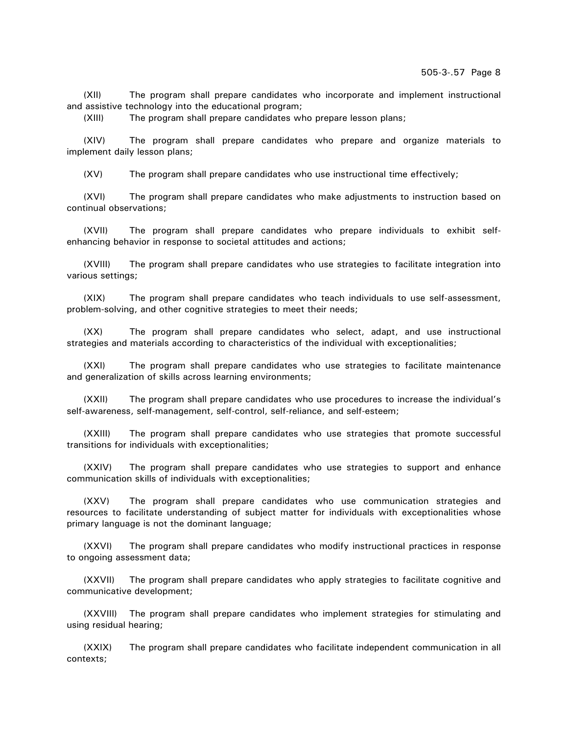(XII) The program shall prepare candidates who incorporate and implement instructional and assistive technology into the educational program;

(XIII) The program shall prepare candidates who prepare lesson plans;

(XIV) The program shall prepare candidates who prepare and organize materials to implement daily lesson plans;

(XV) The program shall prepare candidates who use instructional time effectively;

(XVI) The program shall prepare candidates who make adjustments to instruction based on continual observations;

(XVII) The program shall prepare candidates who prepare individuals to exhibit selfenhancing behavior in response to societal attitudes and actions;

(XVIII) The program shall prepare candidates who use strategies to facilitate integration into various settings;

(XIX) The program shall prepare candidates who teach individuals to use self-assessment, problem-solving, and other cognitive strategies to meet their needs;

(XX) The program shall prepare candidates who select, adapt, and use instructional strategies and materials according to characteristics of the individual with exceptionalities;

(XXI) The program shall prepare candidates who use strategies to facilitate maintenance and generalization of skills across learning environments;

(XXII) The program shall prepare candidates who use procedures to increase the individual's self-awareness, self-management, self-control, self-reliance, and self-esteem;

(XXIII) The program shall prepare candidates who use strategies that promote successful transitions for individuals with exceptionalities;

(XXIV) The program shall prepare candidates who use strategies to support and enhance communication skills of individuals with exceptionalities;

(XXV) The program shall prepare candidates who use communication strategies and resources to facilitate understanding of subject matter for individuals with exceptionalities whose primary language is not the dominant language;

(XXVI) The program shall prepare candidates who modify instructional practices in response to ongoing assessment data;

(XXVII) The program shall prepare candidates who apply strategies to facilitate cognitive and communicative development;

(XXVIII) The program shall prepare candidates who implement strategies for stimulating and using residual hearing;

(XXIX) The program shall prepare candidates who facilitate independent communication in all contexts;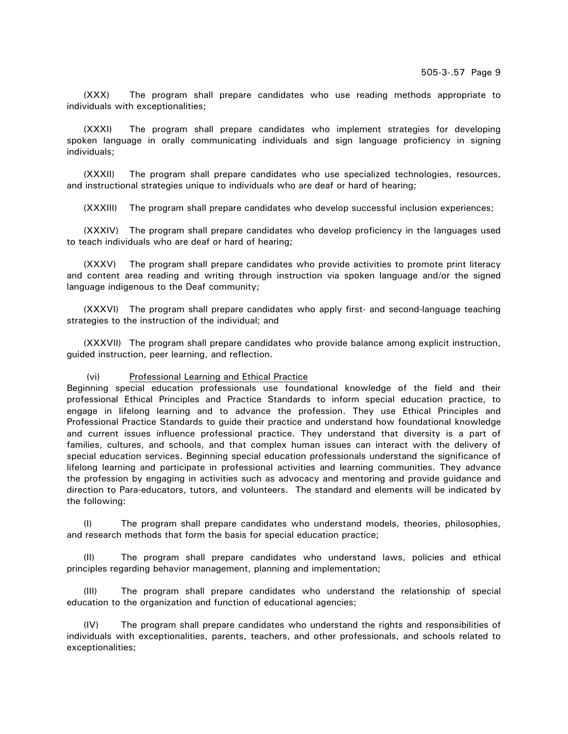(XXX) The program shall prepare candidates who use reading methods appropriate to individuals with exceptionalities;

(XXXI) The program shall prepare candidates who implement strategies for developing spoken language in orally communicating individuals and sign language proficiency in signing individuals;

(XXXII) The program shall prepare candidates who use specialized technologies, resources, and instructional strategies unique to individuals who are deaf or hard of hearing;

(XXXIII) The program shall prepare candidates who develop successful inclusion experiences;

(XXXIV) The program shall prepare candidates who develop proficiency in the languages used to teach individuals who are deaf or hard of hearing;

(XXXV) The program shall prepare candidates who provide activities to promote print literacy and content area reading and writing through instruction via spoken language and/or the signed language indigenous to the Deaf community;

(XXXVI) The program shall prepare candidates who apply first- and second-language teaching strategies to the instruction of the individual; and

(XXXVII) The program shall prepare candidates who provide balance among explicit instruction, guided instruction, peer learning, and reflection.

#### (vi) Professional Learning and Ethical Practice

Beginning special education professionals use foundational knowledge of the field and their professional Ethical Principles and Practice Standards to inform special education practice, to engage in lifelong learning and to advance the profession. They use Ethical Principles and Professional Practice Standards to guide their practice and understand how foundational knowledge and current issues influence professional practice. They understand that diversity is a part of families, cultures, and schools, and that complex human issues can interact with the delivery of special education services. Beginning special education professionals understand the significance of lifelong learning and participate in professional activities and learning communities. They advance the profession by engaging in activities such as advocacy and mentoring and provide guidance and direction to Para-educators, tutors, and volunteers. The standard and elements will be indicated by the following:

(I) The program shall prepare candidates who understand models, theories, philosophies, and research methods that form the basis for special education practice;

(II) The program shall prepare candidates who understand laws, policies and ethical principles regarding behavior management, planning and implementation;

(III) The program shall prepare candidates who understand the relationship of special education to the organization and function of educational agencies;

(IV) The program shall prepare candidates who understand the rights and responsibilities of individuals with exceptionalities, parents, teachers, and other professionals, and schools related to exceptionalities;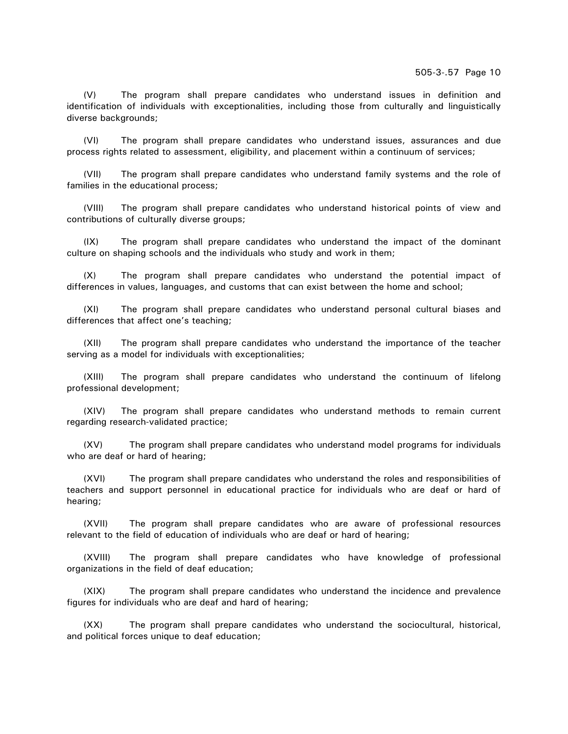(V) The program shall prepare candidates who understand issues in definition and identification of individuals with exceptionalities, including those from culturally and linguistically diverse backgrounds;

(VI) The program shall prepare candidates who understand issues, assurances and due process rights related to assessment, eligibility, and placement within a continuum of services;

(VII) The program shall prepare candidates who understand family systems and the role of families in the educational process;

(VIII) The program shall prepare candidates who understand historical points of view and contributions of culturally diverse groups;

(IX) The program shall prepare candidates who understand the impact of the dominant culture on shaping schools and the individuals who study and work in them;

(X) The program shall prepare candidates who understand the potential impact of differences in values, languages, and customs that can exist between the home and school;

(XI) The program shall prepare candidates who understand personal cultural biases and differences that affect one's teaching;

(XII) The program shall prepare candidates who understand the importance of the teacher serving as a model for individuals with exceptionalities;

(XIII) The program shall prepare candidates who understand the continuum of lifelong professional development;

(XIV) The program shall prepare candidates who understand methods to remain current regarding research-validated practice;

(XV) The program shall prepare candidates who understand model programs for individuals who are deaf or hard of hearing:

(XVI) The program shall prepare candidates who understand the roles and responsibilities of teachers and support personnel in educational practice for individuals who are deaf or hard of hearing;

(XVII) The program shall prepare candidates who are aware of professional resources relevant to the field of education of individuals who are deaf or hard of hearing;

(XVIII) The program shall prepare candidates who have knowledge of professional organizations in the field of deaf education;

(XIX) The program shall prepare candidates who understand the incidence and prevalence figures for individuals who are deaf and hard of hearing;

(XX) The program shall prepare candidates who understand the sociocultural, historical, and political forces unique to deaf education;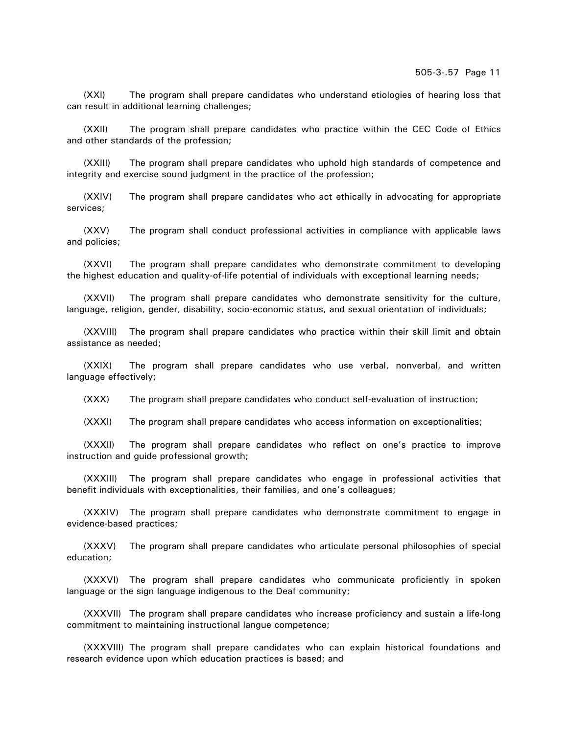(XXI) The program shall prepare candidates who understand etiologies of hearing loss that can result in additional learning challenges;

(XXII) The program shall prepare candidates who practice within the CEC Code of Ethics and other standards of the profession;

(XXIII) The program shall prepare candidates who uphold high standards of competence and integrity and exercise sound judgment in the practice of the profession;

(XXIV) The program shall prepare candidates who act ethically in advocating for appropriate services;

(XXV) The program shall conduct professional activities in compliance with applicable laws and policies;

(XXVI) The program shall prepare candidates who demonstrate commitment to developing the highest education and quality-of-life potential of individuals with exceptional learning needs;

(XXVII) The program shall prepare candidates who demonstrate sensitivity for the culture, language, religion, gender, disability, socio-economic status, and sexual orientation of individuals;

(XXVIII) The program shall prepare candidates who practice within their skill limit and obtain assistance as needed;

(XXIX) The program shall prepare candidates who use verbal, nonverbal, and written language effectively;

(XXX) The program shall prepare candidates who conduct self-evaluation of instruction;

(XXXI) The program shall prepare candidates who access information on exceptionalities;

(XXXII) The program shall prepare candidates who reflect on one's practice to improve instruction and guide professional growth;

(XXXIII) The program shall prepare candidates who engage in professional activities that benefit individuals with exceptionalities, their families, and one's colleagues;

(XXXIV) The program shall prepare candidates who demonstrate commitment to engage in evidence-based practices;

(XXXV) The program shall prepare candidates who articulate personal philosophies of special education;

(XXXVI) The program shall prepare candidates who communicate proficiently in spoken language or the sign language indigenous to the Deaf community;

(XXXVII) The program shall prepare candidates who increase proficiency and sustain a life-long commitment to maintaining instructional langue competence;

(XXXVIII) The program shall prepare candidates who can explain historical foundations and research evidence upon which education practices is based; and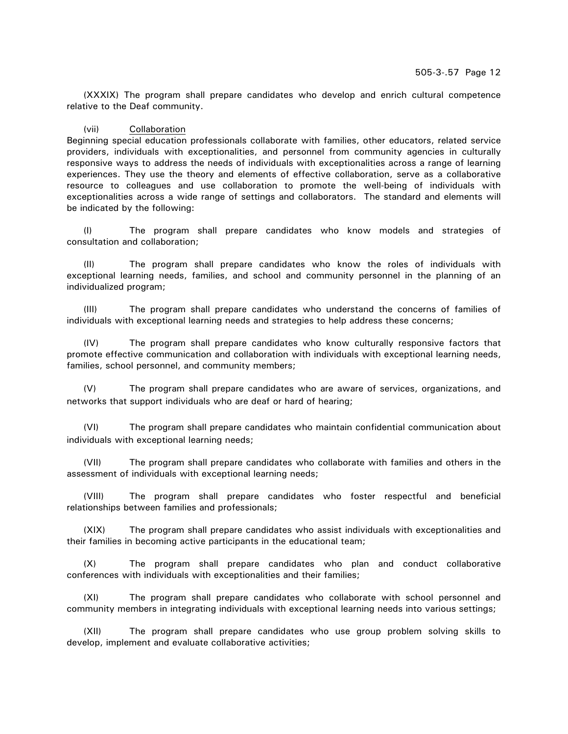(XXXIX) The program shall prepare candidates who develop and enrich cultural competence relative to the Deaf community.

#### (vii) Collaboration

Beginning special education professionals collaborate with families, other educators, related service providers, individuals with exceptionalities, and personnel from community agencies in culturally responsive ways to address the needs of individuals with exceptionalities across a range of learning experiences. They use the theory and elements of effective collaboration, serve as a collaborative resource to colleagues and use collaboration to promote the well-being of individuals with exceptionalities across a wide range of settings and collaborators. The standard and elements will be indicated by the following:

(I) The program shall prepare candidates who know models and strategies of consultation and collaboration;

(II) The program shall prepare candidates who know the roles of individuals with exceptional learning needs, families, and school and community personnel in the planning of an individualized program;

(III) The program shall prepare candidates who understand the concerns of families of individuals with exceptional learning needs and strategies to help address these concerns;

(IV) The program shall prepare candidates who know culturally responsive factors that promote effective communication and collaboration with individuals with exceptional learning needs, families, school personnel, and community members;

(V) The program shall prepare candidates who are aware of services, organizations, and networks that support individuals who are deaf or hard of hearing;

(VI) The program shall prepare candidates who maintain confidential communication about individuals with exceptional learning needs;

(VII) The program shall prepare candidates who collaborate with families and others in the assessment of individuals with exceptional learning needs;

(VIII) The program shall prepare candidates who foster respectful and beneficial relationships between families and professionals;

(XIX) The program shall prepare candidates who assist individuals with exceptionalities and their families in becoming active participants in the educational team;

(X) The program shall prepare candidates who plan and conduct collaborative conferences with individuals with exceptionalities and their families;

(XI) The program shall prepare candidates who collaborate with school personnel and community members in integrating individuals with exceptional learning needs into various settings;

(XII) The program shall prepare candidates who use group problem solving skills to develop, implement and evaluate collaborative activities;